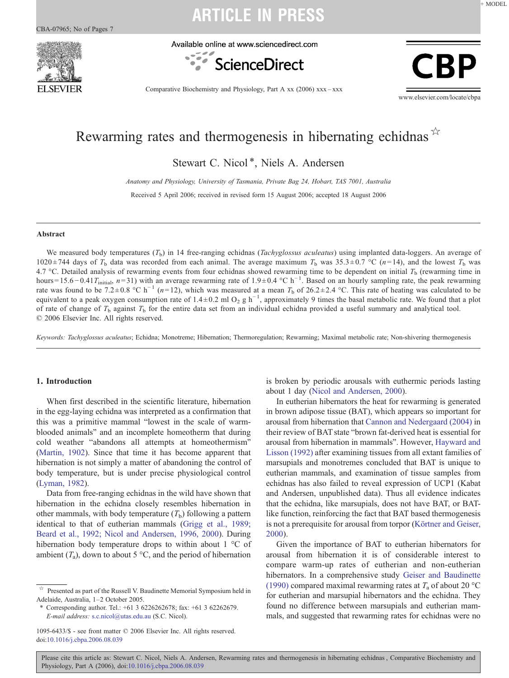

Available online at www.sciencedirect.com



CRI

Comparative Biochemistry and Physiology, Part A xx (2006) xxx–xxx

www.elsevier.com/locate/cbpa

### Rewarming rates and thermogenesis in hibernating echidnas $\overrightarrow{r}$

Stewart C. Nicol<sup>\*</sup>, Niels A. Andersen

Anatomy and Physiology, University of Tasmania, Private Bag 24, Hobart, TAS 7001, Australia

Received 5 April 2006; received in revised form 15 August 2006; accepted 18 August 2006

#### Abstract

We measured body temperatures  $(T_b)$  in 14 free-ranging echidnas (*Tachyglossus aculeatus*) using implanted data-loggers. An average of 1020  $\pm$  744 days of  $T_b$  data was recorded from each animal. The average maximum  $T_b$  was 35.3 $\pm$ 0.7 °C (n=14), and the lowest  $T_b$  was 4.7 °C. Detailed analysis of rewarming events from four echidnas showed rewarming time to be dependent on initial  $T<sub>b</sub>$  (rewarming time in hours=15.6 – 0.41 $T_{initial}$ , n=31) with an average rewarming rate of 1.9 ± 0.4 °C h<sup>-1</sup>. Based on an hourly sampling rate, the peak rewarming rate was found to be 7.2 ± 0.8 °C h<sup>-1</sup> (n=12), which was measured at a mean  $T<sub>b</sub>$  of 26.2 ± 2.4 °C. This rate of heating was calculated to be equivalent to a peak oxygen consumption rate of 1.4 $\pm$ 0.2 ml O<sub>2</sub> g h<sup>-1</sup>, approximately 9 times the basal metabolic rate. We found that a plot of rate of change of  $T<sub>b</sub>$  against  $T<sub>b</sub>$  for the entire data set from an individual echidna provided a useful summary and analytical tool. © 2006 Elsevier Inc. All rights reserved.

Keywords: Tachyglossus aculeatus; Echidna; Monotreme; Hibernation; Thermoregulation; Rewarming; Maximal metabolic rate; Non-shivering thermogenesis

### 1. Introduction

When first described in the scientific literature, hibernation in the egg-laying echidna was interpreted as a confirmation that this was a primitive mammal "lowest in the scale of warmblooded animals" and an incomplete homeotherm that during cold weather "abandons all attempts at homeothermism" ([Martin, 1902\)](#page-6-0). Since that time it has become apparent that hibernation is not simply a matter of abandoning the control of body temperature, but is under precise physiological control ([Lyman, 1982\)](#page-6-0).

Data from free-ranging echidnas in the wild have shown that hibernation in the echidna closely resembles hibernation in other mammals, with body temperature  $(T<sub>b</sub>)$  following a pattern identical to that of eutherian mammals [\(Grigg et al., 1989;](#page-6-0) [Beard et al., 1992; Nicol and Andersen, 1996, 2000](#page-6-0)). During hibernation body temperature drops to within about 1 °C of ambient  $(T_a)$ , down to about 5 °C, and the period of hibernation is broken by periodic arousals with euthermic periods lasting about 1 day [\(Nicol and Andersen, 2000\)](#page-6-0).

In eutherian hibernators the heat for rewarming is generated in brown adipose tissue (BAT), which appears so important for arousal from hibernation that [Cannon and Nedergaard \(2004\)](#page-6-0) in their review of BAT state "brown fat-derived heat is essential for arousal from hibernation in mammals". However, [Hayward and](#page-6-0) [Lisson \(1992\)](#page-6-0) after examining tissues from all extant families of marsupials and monotremes concluded that BAT is unique to eutherian mammals, and examination of tissue samples from echidnas has also failed to reveal expression of UCP1 (Kabat and Andersen, unpublished data). Thus all evidence indicates that the echidna, like marsupials, does not have BAT, or BATlike function, reinforcing the fact that BAT based thermogenesis is not a prerequisite for arousal from torpor [\(Körtner and Geiser,](#page-6-0) [2000](#page-6-0)).

Given the importance of BAT to eutherian hibernators for arousal from hibernation it is of considerable interest to compare warm-up rates of eutherian and non-eutherian hibernators. In a comprehensive study [Geiser and Baudinette](#page-6-0) [\(1990\)](#page-6-0) compared maximal rewarming rates at  $T_a$  of about 20 °C for eutherian and marsupial hibernators and the echidna. They found no difference between marsupials and eutherian mammals, and suggested that rewarming rates for echidnas were no

+ MODEL

 $\overrightarrow{r}$  Presented as part of the Russell V. Baudinette Memorial Symposium held in Adelaide, Australia, 1–2 October 2005.

<sup>⁎</sup> Corresponding author. Tel.: +61 3 6226262678; fax: +61 3 62262679. E-mail address: [s.c.nicol@utas.edu.au](mailto:s.c.nicol@utas.edu.au) (S.C. Nicol).

<sup>1095-6433/\$ -</sup> see front matter © 2006 Elsevier Inc. All rights reserved. doi:[10.1016/j.cbpa.2006.08.039](http://dx.doi.org/10.1016/j.cbpa.2006.08.039)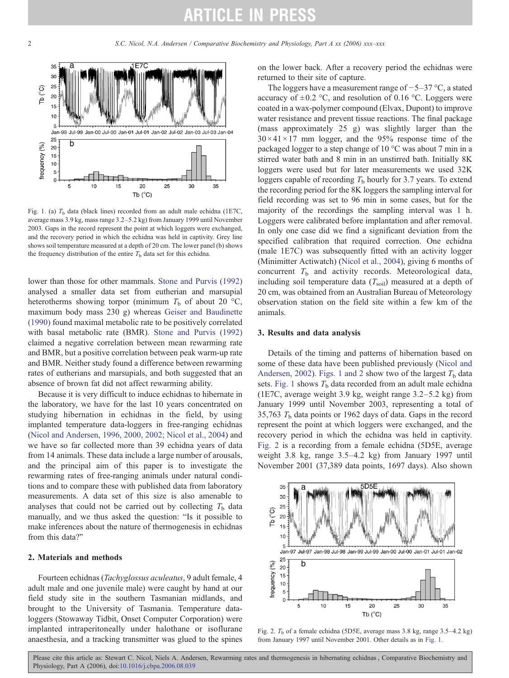<span id="page-1-0"></span>

Fig. 1. (a)  $T<sub>b</sub>$  data (black lines) recorded from an adult male echidna (1E7C, average mass 3.9 kg, mass range 3.2–5.2 kg) from January 1999 until November 2003. Gaps in the record represent the point at which loggers were exchanged, and the recovery period in which the echidna was held in captivity. Grey line shows soil temperature measured at a depth of 20 cm. The lower panel (b) shows the frequency distribution of the entire  $T<sub>b</sub>$  data set for this echidna.

lower than those for other mammals. [Stone and Purvis \(1992\)](#page-6-0) analysed a smaller data set from eutherian and marsupial heterotherms showing torpor (minimum  $T_b$  of about 20 °C, maximum body mass 230 g) whereas [Geiser and Baudinette](#page-6-0) [\(1990\)](#page-6-0) found maximal metabolic rate to be positively correlated with basal metabolic rate (BMR). [Stone and Purvis \(1992\)](#page-6-0) claimed a negative correlation between mean rewarming rate and BMR, but a positive correlation between peak warm-up rate and BMR. Neither study found a difference between rewarming rates of eutherians and marsupials, and both suggested that an absence of brown fat did not affect rewarming ability.

Because it is very difficult to induce echidnas to hibernate in the laboratory, we have for the last 10 years concentrated on studying hibernation in echidnas in the field, by using implanted temperature data-loggers in free-ranging echidnas ([Nicol and Andersen, 1996, 2000, 2002; Nicol et al., 2004\)](#page-6-0) and we have so far collected more than 39 echidna years of data from 14 animals. These data include a large number of arousals, and the principal aim of this paper is to investigate the rewarming rates of free-ranging animals under natural conditions and to compare these with published data from laboratory measurements. A data set of this size is also amenable to analyses that could not be carried out by collecting  $T<sub>b</sub>$  data manually, and we thus asked the question: "Is it possible to make inferences about the nature of thermogenesis in echidnas from this data?"

### 2. Materials and methods

Fourteen echidnas (Tachyglossus aculeatus, 9 adult female, 4 adult male and one juvenile male) were caught by hand at our field study site in the southern Tasmanian midlands, and brought to the University of Tasmania. Temperature dataloggers (Stowaway Tidbit, Onset Computer Corporation) were implanted intraperitoneally under halothane or isoflurane anaesthesia, and a tracking transmitter was glued to the spines

on the lower back. After a recovery period the echidnas were returned to their site of capture.

The loggers have a measurement range of −5–37 °C, a stated accuracy of  $\pm 0.2$  °C, and resolution of 0.16 °C. Loggers were coated in a wax-polymer compound (Elvax, Dupont) to improve water resistance and prevent tissue reactions. The final package (mass approximately 25 g) was slightly larger than the  $30 \times 41 \times 17$  mm logger, and the 95% response time of the packaged logger to a step change of 10 °C was about 7 min in a stirred water bath and 8 min in an unstirred bath. Initially 8K loggers were used but for later measurements we used 32K loggers capable of recording  $T<sub>b</sub>$  hourly for 3.7 years. To extend the recording period for the 8K loggers the sampling interval for field recording was set to 96 min in some cases, but for the majority of the recordings the sampling interval was 1 h. Loggers were calibrated before implantation and after removal. In only one case did we find a significant deviation from the specified calibration that required correction. One echidna (male 1E7C) was subsequently fitted with an activity logger (Minimitter Actiwatch) ([Nicol et al., 2004\)](#page-6-0), giving 6 months of concurrent  $T<sub>b</sub>$  and activity records. Meteorological data, including soil temperature data  $(T_{\text{soil}})$  measured at a depth of 20 cm, was obtained from an Australian Bureau of Meteorology observation station on the field site within a few km of the animals.

### 3. Results and data analysis

Details of the timing and patterns of hibernation based on some of these data have been published previously [\(Nicol and](#page-6-0) [Andersen, 2002\)](#page-6-0). Figs. 1 and 2 show two of the largest  $T<sub>b</sub>$  data sets. Fig. 1 shows  $T<sub>b</sub>$  data recorded from an adult male echidna (1E7C, average weight 3.9 kg, weight range 3.2–5.2 kg) from January 1999 until November 2003, representing a total of 35,763  $T<sub>b</sub>$  data points or 1962 days of data. Gaps in the record represent the point at which loggers were exchanged, and the recovery period in which the echidna was held in captivity. Fig. 2 is a recording from a female echidna (5D5E, average weight 3.8 kg, range 3.5–4.2 kg) from January 1997 until November 2001 (37,389 data points, 1697 days). Also shown



Fig. 2.  $T<sub>b</sub>$  of a female echidna (5D5E, average mass 3.8 kg, range 3.5–4.2 kg) from January 1997 until November 2001. Other details as in Fig. 1.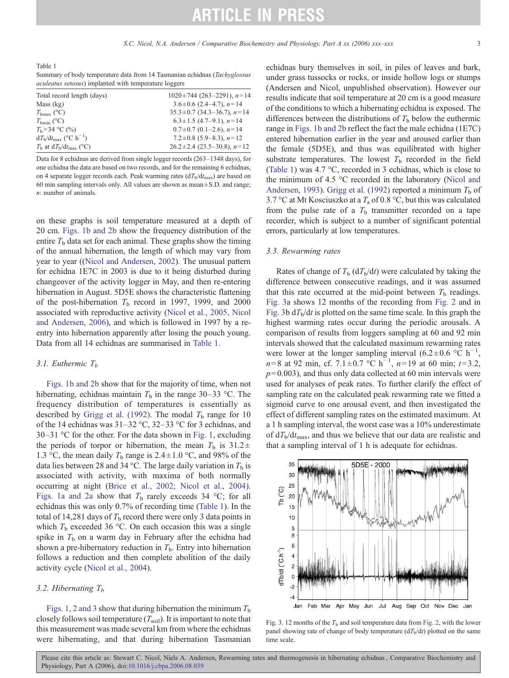<span id="page-2-0"></span>Table 1 Summary of body temperature data from 14 Tasmanian echidnas (Tachyglossus aculeatus setosus) implanted with temperature loggers

| Total record length (days)                      | $1020 \pm 744$ (263-2291), $n=14$  |
|-------------------------------------------------|------------------------------------|
| Mass (kg)                                       | $3.6 \pm 0.6$ (2.4–4.7), $n=14$    |
| $T_{\rm bmax}$ (°C)                             | $35.3 \pm 0.7$ (34.3–36.7), $n=14$ |
| $T_{\rm bmin}$ (°C)                             | $6.3 \pm 1.5$ (4.7-9.1), $n=14$    |
| $T_{\rm b}$ > 34 °C (%)                         | $0.7 \pm 0.7$ (0.1–2.6), $n=14$    |
| $dT_{\rm b}/dt_{\rm max}$ (°C h <sup>-1</sup> ) | $7.2 \pm 0.8$ (5.9–8.3), $n=12$    |
| $T_{\rm b}$ at $dT_{\rm b}/dt_{\rm max}$ (°C)   | $26.2 \pm 2.4$ (23.5–30.8), $n=12$ |

Data for 8 echidnas are derived from single logger records (263–1348 days), for one echidna the data are based on two records, and for the remaining 6 echidnas, on 4 separate logger records each. Peak warming rates  $(dT<sub>b</sub>/dt<sub>max</sub>)$  are based on 60 min sampling intervals only. All values are shown as mean $\pm$  S.D. and range; n: number of animals.

on these graphs is soil temperature measured at a depth of 20 cm. [Figs. 1b and 2b](#page-1-0) show the frequency distribution of the entire  $T<sub>b</sub>$  data set for each animal. These graphs show the timing of the annual hibernation, the length of which may vary from year to year (([Nicol and Andersen, 2002](#page-6-0)). The unusual pattern for echidna 1E7C in 2003 is due to it being disturbed during changeover of the activity logger in May, and then re-entering hibernation in August. 5D5E shows the characteristic flattening of the post-hibernation  $T<sub>b</sub>$  record in 1997, 1999, and 2000 associated with reproductive activity ([Nicol et al., 2005, Nicol](#page-6-0) [and Andersen, 2006](#page-6-0)), and which is followed in 1997 by a reentry into hibernation apparently after losing the pouch young. Data from all 14 echidnas are summarised in Table 1.

#### 3.1. Euthermic  $T<sub>b</sub>$

[Figs. 1b and 2b](#page-1-0) show that for the majority of time, when not hibernating, echidnas maintain  $T<sub>b</sub>$  in the range 30–33 °C. The frequency distribution of temperatures is essentially as described by [Grigg et al. \(1992\).](#page-6-0) The modal  $T<sub>b</sub>$  range for 10 of the 14 echidnas was 31–32 °C, 32–33 °C for 3 echidnas, and 30–31 °C for the other. For the data shown in [Fig. 1](#page-1-0), excluding the periods of torpor or hibernation, the mean  $T_b$  is 31.2 ± 1.3 °C, the mean daily  $T<sub>b</sub>$  range is 2.4  $\pm$  1.0 °C, and 98% of the data lies between 28 and 34 °C. The large daily variation in  $T<sub>b</sub>$  is associated with activity, with maxima of both normally occurring at night ([Brice et al., 2002; Nicol et al., 2004\)](#page-6-0). [Figs. 1a and 2a](#page-1-0) show that  $T<sub>b</sub>$  rarely exceeds 34 °C; for all echidnas this was only 0.7% of recording time (Table 1). In the total of 14,281 days of  $T<sub>b</sub>$  record there were only 3 data points in which  $T<sub>b</sub>$  exceeded 36 °C. On each occasion this was a single spike in  $T<sub>b</sub>$  on a warm day in February after the echidna had shown a pre-hibernatory reduction in  $T<sub>b</sub>$ . Entry into hibernation follows a reduction and then complete abolition of the daily activity cycle [\(Nicol et al., 2004](#page-6-0)).

### 3.2. Hibernating  $T_b$

[Figs. 1, 2 and 3](#page-1-0) show that during hibernation the minimum  $T<sub>b</sub>$ closely follows soil temperature  $(T_{\text{soil}})$ . It is important to note that this measurement was made several km from where the echidnas were hibernating, and that during hibernation Tasmanian echidnas bury themselves in soil, in piles of leaves and bark, under grass tussocks or rocks, or inside hollow logs or stumps (Andersen and Nicol, unpublished observation). However our results indicate that soil temperature at 20 cm is a good measure of the conditions to which a hibernating echidna is exposed. The differences between the distributions of  $T<sub>b</sub>$  below the euthermic range in [Figs. 1b and 2b](#page-1-0) reflect the fact the male echidna (1E7C) entered hibernation earlier in the year and aroused earlier than the female (5D5E), and thus was equilibrated with higher substrate temperatures. The lowest  $T<sub>b</sub>$  recorded in the field (Table 1) was 4.7 °C, recorded in 3 echidnas, which is close to the minimum of 4.5 °C recorded in the laboratory ([Nicol and](#page-6-0) [Andersen, 1993\)](#page-6-0). [Grigg et al. \(1992\)](#page-6-0) reported a minimum  $T<sub>b</sub>$  of 3.7 °C at Mt Kosciuszko at a  $T_a$  of 0.8 °C, but this was calculated from the pulse rate of a  $T<sub>b</sub>$  transmitter recorded on a tape recorder, which is subject to a number of significant potential errors, particularly at low temperatures.

### 3.3. Rewarming rates

Rates of change of  $T<sub>b</sub>$  (d $T<sub>b</sub>/dt$ ) were calculated by taking the difference between consecutive readings, and it was assumed that this rate occurred at the mid-point between  $T<sub>b</sub>$  readings. Fig. 3a shows 12 months of the recording from [Fig. 2](#page-1-0) and in Fig. 3b  $dT_b/dt$  is plotted on the same time scale. In this graph the highest warming rates occur during the periodic arousals. A comparison of results from loggers sampling at 60 and 92 min intervals showed that the calculated maximum rewarming rates were lower at the longer sampling interval (6.2±0.6 °C h<sup>-1</sup>,  $n=8$  at 92 min, cf. 7.1 ± 0.7 °C h<sup>-1</sup>,  $n=19$  at 60 min;  $t=3.2$ ,  $p= 0.003$ ), and thus only data collected at 60 min intervals were used for analyses of peak rates. To further clarify the effect of sampling rate on the calculated peak rewarming rate we fitted a sigmoid curve to one arousal event, and then investigated the effect of different sampling rates on the estimated maximum. At a 1 h sampling interval, the worst case was a 10% underestimate of  $dT_{\rm b}/dt_{\rm max}$ , and thus we believe that our data are realistic and that a sampling interval of 1 h is adequate for echidnas.



Fig. 3. 12 months of the  $T<sub>b</sub>$  and soil temperature data from [Fig. 2,](#page-1-0) with the lower panel showing rate of change of body temperature  $(dT_b/dt)$  plotted on the same time scale.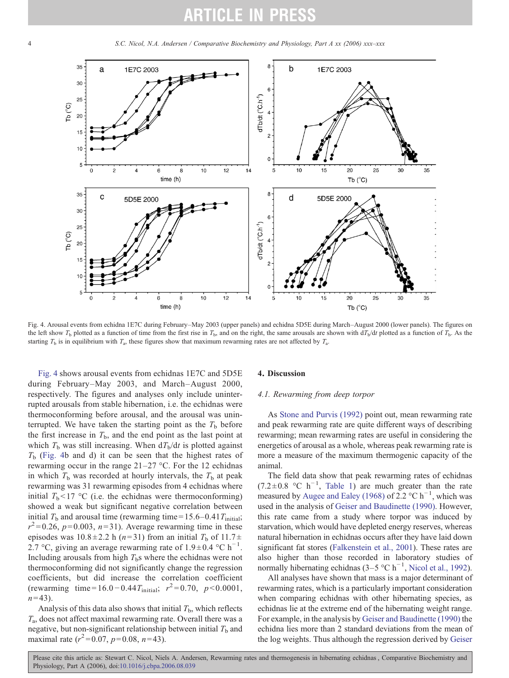<span id="page-3-0"></span>4 S.C. Nicol, N.A. Andersen / Comparative Biochemistry and Physiology, Part A xx (2006) xxx–xxx



Fig. 4. Arousal events from echidna 1E7C during February–May 2003 (upper panels) and echidna 5D5E during March–August 2000 (lower panels). The figures on the left show  $T_b$  plotted as a function of time from the first rise in  $T_b$ , and on the right, the same arousals are shown with  $dT_b/dt$  plotted as a function of  $T_b$ . As the starting  $T_b$  is in equilibrium with  $T_a$ , these figures show that maximum rewarming rates are not affected by  $T_a$ .

Fig. 4 shows arousal events from echidnas 1E7C and 5D5E during February–May 2003, and March–August 2000, respectively. The figures and analyses only include uninterrupted arousals from stable hibernation, i.e. the echidnas were thermoconforming before arousal, and the arousal was uninterrupted. We have taken the starting point as the  $T<sub>b</sub>$  before the first increase in  $T<sub>b</sub>$ , and the end point as the last point at which  $T_b$  was still increasing. When  $dT_b/dt$  is plotted against  $T<sub>b</sub>$  (Fig. 4b and d) it can be seen that the highest rates of rewarming occur in the range 21–27 °C. For the 12 echidnas in which  $T<sub>b</sub>$  was recorded at hourly intervals, the  $T<sub>b</sub>$  at peak rewarming was 31 rewarming episodes from 4 echidnas where initial  $T<sub>b</sub> < 17$  °C (i.e. the echidnas were thermoconforming) showed a weak but significant negative correlation between initial  $T<sub>b</sub>$  and arousal time (rewarming time = 15.6–0.41 $T<sub>initial</sub>$ ;  $r^2$ =0.26, p=0.003, n=31). Average rewarming time in these episodes was  $10.8 \pm 2.2$  h (n=31) from an initial  $T_b$  of  $11.7 \pm$ 2.7 °C, giving an average rewarming rate of 1.9 ± 0.4 °C h<sup>-1</sup>. Including arousals from high  $T<sub>b</sub>$ s where the echidnas were not thermoconforming did not significantly change the regression coefficients, but did increase the correlation coefficient (rewarming time=16.0 – 0.44 $T_{initial}$ ;  $r^2 = 0.70$ ,  $p < 0.0001$ ,  $n = 43$ ).

Analysis of this data also shows that initial  $T<sub>b</sub>$ , which reflects  $T_a$ , does not affect maximal rewarming rate. Overall there was a negative, but non-significant relationship between initial  $T<sub>b</sub>$  and maximal rate  $(r^2=0.07, p=0.08, n=43)$ .

### 4. Discussion

### 4.1. Rewarming from deep torpor

As [Stone and Purvis \(1992\)](#page-6-0) point out, mean rewarming rate and peak rewarming rate are quite different ways of describing rewarming; mean rewarming rates are useful in considering the energetics of arousal as a whole, whereas peak rewarming rate is more a measure of the maximum thermogenic capacity of the animal.

The field data show that peak rewarming rates of echidnas (7.2±0.8 °C h<sup>-1</sup>, [Table 1](#page-2-0)) are much greater than the rate measured by [Augee and Ealey \(1968\)](#page-6-0) of 2.2 °C h<sup>-1</sup>, which was used in the analysis of [Geiser and Baudinette \(1990\)](#page-6-0). However, this rate came from a study where torpor was induced by starvation, which would have depleted energy reserves, whereas natural hibernation in echidnas occurs after they have laid down significant fat stores [\(Falkenstein et al., 2001](#page-6-0)). These rates are also higher than those recorded in laboratory studies of normally hibernating echidnas (3–5 °C h<sup>-1</sup>, [Nicol et al., 1992](#page-6-0)).

All analyses have shown that mass is a major determinant of rewarming rates, which is a particularly important consideration when comparing echidnas with other hibernating species, as echidnas lie at the extreme end of the hibernating weight range. For example, in the analysis by [Geiser and Baudinette \(1990\)](#page-6-0) the echidna lies more than 2 standard deviations from the mean of the log weights. Thus although the regression derived by [Geiser](#page-6-0)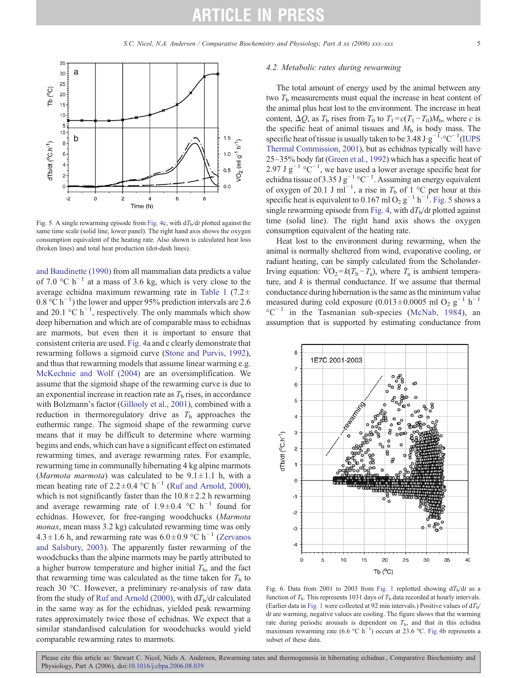<span id="page-4-0"></span>

Fig. 5. A single rewarming episode from [Fig. 4c](#page-3-0), with  $dT<sub>b</sub>/dt$  plotted against the same time scale (solid line, lower panel). The right hand axis shows the oxygen consumption equivalent of the heating rate. Also shown is calculated heat loss (broken lines) and total heat production (dot-dash lines).

[and Baudinette \(1990\)](#page-6-0) from all mammalian data predicts a value of 7.0 °C h<sup>-1</sup> at a mass of 3.6 kg, which is very close to the average echidna maximum rewarming rate in [Table 1](#page-2-0) (7.2 $\pm$ 0.8 °C h<sup>-1</sup>) the lower and upper 95% prediction intervals are 2.6 and 20.1 °C  $h^{-1}$ , respectively. The only mammals which show deep hibernation and which are of comparable mass to echidnas are marmots, but even then it is important to ensure that consistent criteria are used. [Fig. 4a](#page-3-0) and c clearly demonstrate that rewarming follows a sigmoid curve [\(Stone and Purvis, 1992\)](#page-6-0), and thus that rewarming models that assume linear warming e.g. [McKechnie and Wolf \(2004\)](#page-6-0) are an oversimplification. We assume that the sigmoid shape of the rewarming curve is due to an exponential increase in reaction rate as  $T<sub>b</sub>$  rises, in accordance with Bolzmann's factor ([Gillooly et al., 2001\)](#page-6-0), combined with a reduction in thermoregulatory drive as  $T<sub>b</sub>$  approaches the euthermic range. The sigmoid shape of the rewarming curve means that it may be difficult to determine where warming begins and ends, which can have a significant effect on estimated rewarming times, and average rewarming rates. For example, rewarming time in communally hibernating 4 kg alpine marmots (*Marmota marmota*) was calculated to be  $9.1 \pm 1.1$  h, with a mean heating rate of 2.2 ± 0.4 °C h<sup>-1</sup> ([Ruf and Arnold, 2000\)](#page-6-0), which is not significantly faster than the  $10.8 \pm 2.2$  h rewarming and average rewarming rate of 1.9±0.4 °C h<sup>-1</sup> found for echidnas. However, for free-ranging woodchucks (Marmota monax, mean mass 3.2 kg) calculated rewarming time was only 4.3 ± 1.6 h, and rewarming rate was  $6.0 \pm 0.9$  °C h<sup>-1</sup> ([Zervanos](#page-6-0) [and Salsbury, 2003](#page-6-0)). The apparently faster rewarming of the woodchucks than the alpine marmots may be partly attributed to a higher burrow temperature and higher initial  $T<sub>b</sub>$ , and the fact that rewarming time was calculated as the time taken for  $T<sub>b</sub>$  to reach 30 °C. However, a preliminary re-analysis of raw data from the study of [Ruf and Arnold \(2000\)](#page-6-0), with  $dT<sub>b</sub>/dt$  calculated in the same way as for the echidnas, yielded peak rewarming rates approximately twice those of echidnas. We expect that a similar standardised calculation for woodchucks would yield comparable rewarming rates to marmots.

#### 4.2. Metabolic rates during rewarming

The total amount of energy used by the animal between any two  $T<sub>b</sub>$  measurements must equal the increase in heat content of the animal plus heat lost to the environment. The increase in heat content,  $\Delta Q$ , as  $T_b$  rises from  $T_0$  to  $T_1 = c(T_1 - T_0)M_b$ , where c is the specific heat of animal tissues and  $M<sub>b</sub>$  is body mass. The specific heat of tissue is usually taken to be 3.48 J·g<sup>-1</sup>.°C<sup>-1</sup>[\(IUPS](#page-6-0) [Thermal Commission, 2001](#page-6-0)), but as echidnas typically will have 25–35% body fat [\(Green et al., 1992](#page-6-0)) which has a specific heat of 2.97 J  $g^{-1}$  °C<sup>-1</sup>, we have used a lower average specific heat for echidna tissue of 3.35 J  $g^{-1}$  °C<sup>-1</sup>. Assuming an energy equivalent of oxygen of 20.1 J ml<sup>-1</sup>, a rise in  $T_b$  of 1 °C per hour at this specific heat is equivalent to 0.167 ml O<sub>2</sub> g<sup>-1</sup> h<sup>-1</sup>. Fig. 5 shows a single rewarming episode from [Fig. 4](#page-3-0), with  $dT<sub>b</sub>/dt$  plotted against time (solid line). The right hand axis shows the oxygen consumption equivalent of the heating rate.

Heat lost to the environment during rewarming, when the animal is normally sheltered from wind, evaporative cooling, or radiant heating, can be simply calculated from the Scholander-Irving equation:  $\text{VO}_2 = k(T_b - T_a)$ , where  $T_a$  is ambient temperature, and  $k$  is thermal conductance. If we assume that thermal conductance during hibernation is the same as the minimum value measured during cold exposure (0.013±0.0005 ml O<sub>2</sub> g<sup>-1</sup> h<sup>-1</sup>  $^{\circ}$ C<sup>-1</sup> in the Tasmanian sub-species [\(McNab, 1984\)](#page-6-0), an assumption that is supported by estimating conductance from



Fig. 6. Data from 2001 to 2003 from [Fig. 1](#page-1-0) replotted showing  $dT_b/dt$  as a function of  $T<sub>b</sub>$ . This represents 1031 days of  $T<sub>b</sub>$  data recorded at hourly intervals. (Earlier data in [Fig. 1](#page-1-0) were collected at 92 min intervals.) Positive values of  $dT_b$ / dt are warming, negative values are cooling. The figure shows that the warming rate during periodic arousals is dependent on  $T<sub>b</sub>$ , and that in this echidna maximum rewarming rate (6.6 °C h<sup>-1</sup>) occurs at 23.6 °C. [Fig 4](#page-3-0)b represents a subset of these data.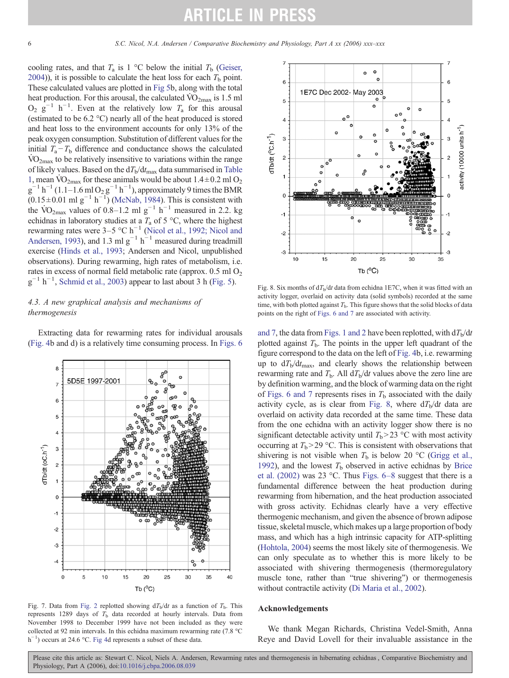cooling rates, and that  $T_a$  is 1 °C below the initial  $T_b$  [\(Geiser,](#page-6-0) [2004](#page-6-0))), it is possible to calculate the heat loss for each  $T<sub>b</sub>$  point. These calculated values are plotted in [Fig 5b](#page-4-0), along with the total heat production. For this arousal, the calculated  $\rm{VO_{2max}}$  is 1.5 ml  $O_2$   $\mathbf{g}^{-1}$  h<sup>-1</sup>. Even at the relatively low  $T_a$  for this arousal (estimated to be 6.2 °C) nearly all of the heat produced is stored and heat loss to the environment accounts for only 13% of the peak oxygen consumption. Substitution of different values for the initial  $T_a - T_b$  difference and conductance shows the calculated  $\rm{VO_{2max}}$  to be relatively insensitive to variations within the range of likely values. Based on the  $dT_b/dt_{\text{max}}$  data summarised in [Table](#page-2-0) [1,](#page-2-0) mean  $\rm \dot{VO}_{2max}$  for these animals would be about  $1.4 \pm 0.2$  ml  $\rm O_2$  $g^{-1} h^{-1}$  (1.1–1.6 ml  $O_2 g^{-1} h^{-1}$ ), approximately 9 times the BMR  $(0.15 \pm 0.01 \text{ ml g}^{-1} \text{ h}^{-1})$  ([McNab, 1984\)](#page-6-0). This is consistent with the  $\text{VO}_{2\text{max}}$  values of 0.8–1.2 ml g<sup>-1</sup> h<sup>-1</sup> measured in 2.2. kg echidnas in laboratory studies at a  $T_a$  of 5 °C, where the highest rewarming rates were  $3-5$  °C h<sup>-1</sup> ([Nicol et al., 1992; Nicol and](#page-6-0) [Andersen, 1993\)](#page-6-0), and 1.3 ml  $g^{-1}$  h<sup>-1</sup> measured during treadmill exercise [\(Hinds et al., 1993;](#page-6-0) Andersen and Nicol, unpublished observations). During rewarming, high rates of metabolism, i.e. rates in excess of normal field metabolic rate (approx.  $0.5$  ml  $O<sub>2</sub>$ )  $g^{-1}$  h<sup>-1</sup>, [Schmid et al., 2003](#page-6-0)) appear to last about 3 h [\(Fig. 5](#page-4-0)).

### 4.3. A new graphical analysis and mechanisms of thermogenesis

Extracting data for rewarming rates for individual arousals ([Fig. 4b](#page-3-0) and d) is a relatively time consuming process. In [Figs. 6](#page-4-0)



Fig. 7. Data from [Fig. 2](#page-1-0) replotted showing  $dT_b/dt$  as a function of  $T_b$ . This represents 1289 days of  $T<sub>b</sub>$  data recorded at hourly intervals. Data from November 1998 to December 1999 have not been included as they were collected at 92 min intervals. In this echidna maximum rewarming rate (7.8 °C h<sup>-1</sup>) occurs at 24.6 °C. [Fig 4d](#page-3-0) represents a subset of these data.



Fig. 8. Six months of  $dT<sub>b</sub>/dt$  data from echidna 1E7C, when it was fitted with an activity logger, overlaid on activity data (solid symbols) recorded at the same time, with both plotted against  $T<sub>b</sub>$ . This figure shows that the solid blocks of data points on the right of [Figs. 6 and 7](#page-4-0) are associated with activity.

[and 7,](#page-4-0) the data from [Figs. 1 and 2](#page-1-0) have been replotted, with  $dT<sub>b</sub>/dt$ plotted against  $T<sub>b</sub>$ . The points in the upper left quadrant of the figure correspond to the data on the left of [Fig. 4](#page-3-0)b, i.e. rewarming up to  $dT<sub>b</sub>/dt<sub>max</sub>$ , and clearly shows the relationship between rewarming rate and  $T<sub>b</sub>$ . All  $dT<sub>b</sub>/dt$  values above the zero line are by definition warming, and the block of warming data on the right of [Figs. 6 and 7](#page-4-0) represents rises in  $T<sub>b</sub>$  associated with the daily activity cycle, as is clear from Fig. 8, where  $dT<sub>b</sub>/dt$  data are overlaid on activity data recorded at the same time. These data from the one echidna with an activity logger show there is no significant detectable activity until  $T_b > 23$  °C with most activity occurring at  $T_b > 29$  °C. This is consistent with observations that shivering is not visible when  $T<sub>b</sub>$  is below 20 °C ([Grigg et al.,](#page-6-0) [1992](#page-6-0)), and the lowest  $T<sub>b</sub>$  observed in active echidnas by [Brice](#page-6-0) [et al. \(2002\)](#page-6-0) was 23 °C. Thus [Figs. 6](#page-4-0)–8 suggest that there is a fundamental difference between the heat production during rewarming from hibernation, and the heat production associated with gross activity. Echidnas clearly have a very effective thermogenic mechanism, and given the absence of brown adipose tissue, skeletal muscle, which makes up a large proportion of body mass, and which has a high intrinsic capacity for ATP-splitting ([Hohtola, 2004\)](#page-6-0) seems the most likely site of thermogenesis. We can only speculate as to whether this is more likely to be associated with shivering thermogenesis (thermoregulatory muscle tone, rather than "true shivering") or thermogenesis without contractile activity ([Di Maria et al., 2002\)](#page-6-0).

### Acknowledgements

We thank Megan Richards, Christina Vedel-Smith, Anna Reye and David Lovell for their invaluable assistance in the